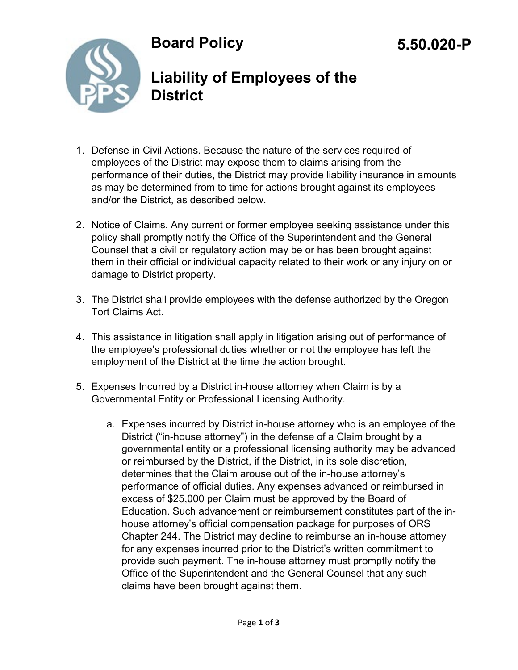# **Board Policy**



### **Liability of Employees of the District**

- 1. Defense in Civil Actions. Because the nature of the services required of employees of the District may expose them to claims arising from the performance of their duties, the District may provide liability insurance in amounts as may be determined from to time for actions brought against its employees and/or the District, as described below.
- 2. Notice of Claims. Any current or former employee seeking assistance under this policy shall promptly notify the Office of the Superintendent and the General Counsel that a civil or regulatory action may be or has been brought against them in their official or individual capacity related to their work or any injury on or damage to District property.
- 3. The District shall provide employees with the defense authorized by the Oregon Tort Claims Act.
- 4. This assistance in litigation shall apply in litigation arising out of performance of the employee's professional duties whether or not the employee has left the employment of the District at the time the action brought.
- 5. Expenses Incurred by a District in-house attorney when Claim is by a Governmental Entity or Professional Licensing Authority.
	- a. Expenses incurred by District in-house attorney who is an employee of the District ("in-house attorney") in the defense of a Claim brought by a governmental entity or a professional licensing authority may be advanced or reimbursed by the District, if the District, in its sole discretion, determines that the Claim arouse out of the in-house attorney's performance of official duties. Any expenses advanced or reimbursed in excess of \$25,000 per Claim must be approved by the Board of Education. Such advancement or reimbursement constitutes part of the inhouse attorney's official compensation package for purposes of ORS Chapter 244. The District may decline to reimburse an in-house attorney for any expenses incurred prior to the District's written commitment to provide such payment. The in-house attorney must promptly notify the Office of the Superintendent and the General Counsel that any such claims have been brought against them.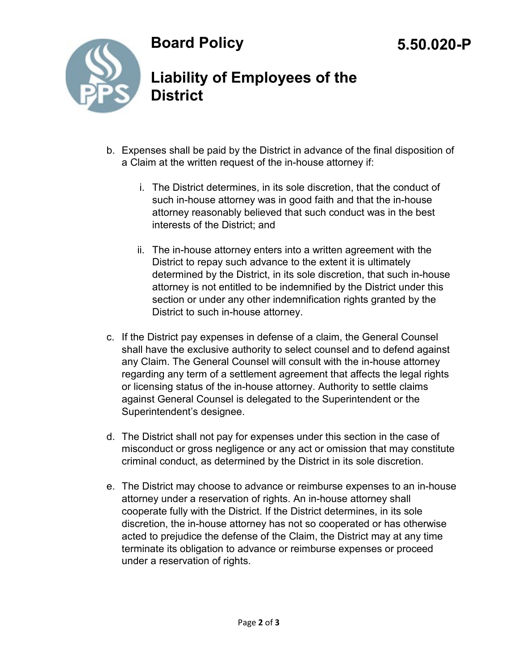#### **Board Policy**



## **Liability of Employees of the District**

- b. Expenses shall be paid by the District in advance of the final disposition of a Claim at the written request of the in-house attorney if:
	- i. The District determines, in its sole discretion, that the conduct of such in-house attorney was in good faith and that the in-house attorney reasonably believed that such conduct was in the best interests of the District; and
	- ii. The in-house attorney enters into a written agreement with the District to repay such advance to the extent it is ultimately determined by the District, in its sole discretion, that such in-house attorney is not entitled to be indemnified by the District under this section or under any other indemnification rights granted by the District to such in-house attorney.
- c. If the District pay expenses in defense of a claim, the General Counsel shall have the exclusive authority to select counsel and to defend against any Claim. The General Counsel will consult with the in-house attorney regarding any term of a settlement agreement that affects the legal rights or licensing status of the in-house attorney. Authority to settle claims against General Counsel is delegated to the Superintendent or the Superintendent's designee.
- d. The District shall not pay for expenses under this section in the case of misconduct or gross negligence or any act or omission that may constitute criminal conduct, as determined by the District in its sole discretion.
- e. The District may choose to advance or reimburse expenses to an in-house attorney under a reservation of rights. An in-house attorney shall cooperate fully with the District. If the District determines, in its sole discretion, the in-house attorney has not so cooperated or has otherwise acted to prejudice the defense of the Claim, the District may at any time terminate its obligation to advance or reimburse expenses or proceed under a reservation of rights.